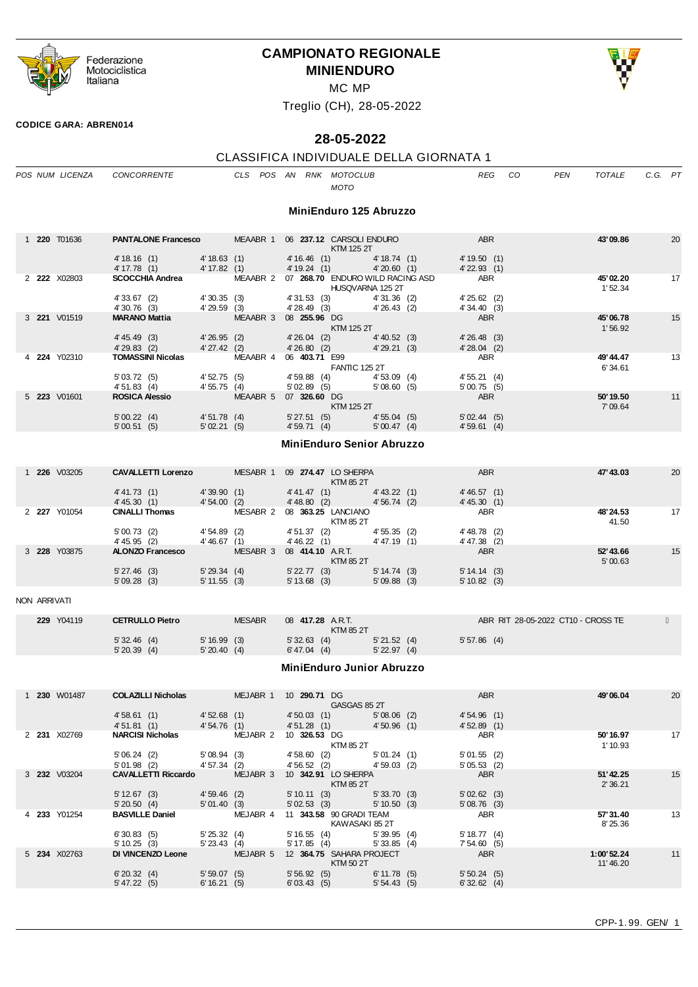

# **CAMPIONATO REGIONALE MINIENDURO**



MC MP

Treglio (CH), 28-05-2022

#### **CODICE GARA: ABREN014**

# **28-05-2022**

# CLASSIFICA INDIVIDUALE DELLA GIORNATA 1

|  | POS NUM LICENZA | <b>CONCORRENTE</b>                                   |                             | CLS POS AN          |                                           | RNK MOTOCLUB<br><b>MOTO</b>                          |                              | <b>REG</b>                             | CO. | <b>PEN</b> | <b>TOTALE</b>        | C.G. PT |                 |
|--|-----------------|------------------------------------------------------|-----------------------------|---------------------|-------------------------------------------|------------------------------------------------------|------------------------------|----------------------------------------|-----|------------|----------------------|---------|-----------------|
|  |                 |                                                      |                             |                     |                                           | MiniEnduro 125 Abruzzo                               |                              |                                        |     |            |                      |         |                 |
|  | 1 220 T01636    | <b>PANTALONE Francesco</b>                           |                             | MEAABR 1            |                                           | 06 237.12 CARSOLI ENDURO<br>KTM 125 2T               |                              | <b>ABR</b>                             |     |            | 43'09.86             |         | 20              |
|  |                 | 4' 18.16 (1)<br>4' 17.78(1)                          | 4' 18.63(1)<br>4' 17.82 (1) |                     | 4'16.46(1)<br>4'19.24(1)                  |                                                      | 4' 18.74(1)<br>4'20.60(1)    | 4'19.50(1)<br>$4'$ 22.93 $(1)$         |     |            |                      |         |                 |
|  | 2 222 X02803    | <b>SCOCCHIA Andrea</b>                               |                             | MEAABR <sub>2</sub> |                                           | 07 268.70 ENDURO WILD RACING ASD<br>HUSQVARNA 125 2T |                              | <b>ABR</b>                             |     |            | 45'02.20<br>1'52.34  |         | 17              |
|  |                 | 4'33.67(2)<br>4'30.76(3)                             | 4'30.35(3)<br>4'29.59(3)    |                     | 4'31.53(3)<br>4'28.49(3)                  |                                                      | 4'31.36(2)<br>4'26.43(2)     | $4'25.62$ (2)<br>4'34.40(3)            |     |            |                      |         |                 |
|  | 3 221 V01519    | <b>MARANO Mattia</b>                                 |                             | MEAABR 3            | 08 255.96 DG                              | KTM 125 2T                                           |                              | <b>ABR</b>                             |     |            | 45'06.78<br>1'56.92  |         | 15              |
|  |                 | $4' 45.49$ (3)<br>4'29.83(2)                         | 4'26.95(2)<br>4'27.42(2)    |                     | $4'26.04$ (2)<br>4'26.80(2)               |                                                      | $4' 40.52$ (3)<br>4'29.21(3) | 4'26.48(3)<br>$4'28.04$ (2)            |     |            |                      |         |                 |
|  | 4 224 Y02310    | <b>TOMASSINI Nicolas</b><br>5'03.72(5)<br>4'51.83(4) | 4'52.75 (5)<br>4'55.75(4)   | MEAABR 4            | 06 403.71 E99<br>4'59.88(4)<br>5'02.89(5) | <b>FANTIC 125 2T</b>                                 | 4'53.09(4)<br>5'08.60(5)     | <b>ABR</b><br>4'55.21(4)<br>5'00.75(5) |     |            | 49' 44.47<br>6'34.61 |         | 13              |
|  | 5 223 V01601    | <b>ROSICA Alessio</b>                                |                             | MEAABR 5            | 07 326,60 DG                              | KTM 125 2T                                           |                              | <b>ABR</b>                             |     |            | 50'19.50<br>7'09.64  |         | 11              |
|  |                 | 5'00.22(4)<br>5'00.51(5)                             | 4'51.78(4)<br>5'02.21(5)    |                     | 5'27.51(5)<br>4'59.71(4)                  |                                                      | 4'55.04(5)<br>5'00.47(4)     | 5'02.44(5)<br>4'59.61(4)               |     |            |                      |         |                 |
|  |                 |                                                      |                             |                     |                                           | <b>MiniEnduro Senior Abruzzo</b>                     |                              |                                        |     |            |                      |         |                 |
|  | 1 226 1/03205   | CAVALLETTLO renzo                                    |                             |                     |                                           | MESARR 1 09 274 47 IO SHERPA                         |                              | <b>ARR</b>                             |     |            | 47' 43.03            |         | 20 <sup>2</sup> |

|            | <b>226</b> V03205 | <b>CAVALLETTI Lorenzo</b> |              | MESABR 1 | 09 274.47 LO SHERPA |                | <b>ABR</b>     | 47'43.03  | 20 |
|------------|-------------------|---------------------------|--------------|----------|---------------------|----------------|----------------|-----------|----|
|            |                   |                           |              |          | <b>KTM 85 2T</b>    |                |                |           |    |
|            |                   | 4' 41.73(1)               | 4'39.90(1)   |          | 4' 41.47 (1)        | $4' 43.22$ (1) | 4' 46.57(1)    |           |    |
|            |                   | 4' 45.30(1)               | 4'54.00(2)   |          | 4' 48.80 (2)        | 4'56.74(2)     | 4' 45.30(1)    |           |    |
|            | 2 227 Y01054      | <b>CINALLI Thomas</b>     |              | MESABR 2 | 08 363.25 LANCIANO  |                | <b>ABR</b>     | 48'24.53  | 17 |
|            |                   |                           |              |          | KTM 85 2T           |                |                | 41.50     |    |
|            |                   | 5'00.73(2)                | 4'54.89(2)   |          | 4'51.37(2)          | 4'55.35(2)     | $4' 48.78$ (2) |           |    |
|            |                   | 4' 45.95 (2)              | 4'46.67 (1)  |          | 4' 46.22(1)         | 4'47.19 (1)    | $4' 47.38$ (2) |           |    |
| $3\;\;228$ | Y03875            | <b>ALONZO Francesco</b>   |              | MESABR 3 | 08 414.10 ART.      |                | <b>ABR</b>     | 52' 43.66 | 15 |
|            |                   |                           |              |          | <b>KTM 85 2T</b>    |                |                | 5'00.63   |    |
|            |                   | $5'27.46$ (3)             | 5'29.34(4)   |          | $5'$ 22.77 (3)      | $5' 14.74$ (3) | 5' 14.14 (3)   |           |    |
|            |                   | 5'09.28(3)                | 5' 11.55 (3) |          | $5' 13.68$ (3)      | $5'09.88$ (3)  | 5'10.82(3)     |           |    |
|            |                   |                           |              |          |                     |                |                |           |    |

# NON ARRIVATI

| 229 Y04119 | <b>CETRULLO Pietro</b> |            | <b>MESABR</b> | 08 417.28 A.R.T. |  | ABR RIT 28-05-2022 CT10 - CROSS TE |
|------------|------------------------|------------|---------------|------------------|--|------------------------------------|
|            |                        |            |               | KTM 85 2T        |  |                                    |
|            | 5'32.46(4)             | 5'16.99(3) | 5'32.63(4)    | $5'$ 21.52 (4)   |  | 5'57.86(4)                         |
|            | 5'20.39(4)             | 5'20.40(4) | 6' 47.04 (4)  | $5'$ 22.97 (4)   |  |                                    |

#### **MiniEnduro Junior Abruzzo**

|  | 1 230 W01487 | <b>COLAZILLI Nicholas</b>  |                | MEJABR 1 | 10 <b>290.71</b> DG      |                | <b>ABR</b>     | 49'06.04   | 20 |
|--|--------------|----------------------------|----------------|----------|--------------------------|----------------|----------------|------------|----|
|  |              |                            |                |          | GASGAS 85 2T             |                |                |            |    |
|  |              | 4'58.61(1)                 | 4'52.68(1)     |          | 4'50.03(1)               | $5'08.06$ (2)  | 4'54.96(1)     |            |    |
|  |              | 4'51.81(1)                 | 4'54.76(1)     |          | 4'51.28(1)               | 4'50.96(1)     | 4'52.89(1)     |            |    |
|  | 2 231 X02769 | <b>NARCISI Nicholas</b>    |                | MEJABR 2 | 10 326.53 DG             |                | <b>ABR</b>     | 50' 16.97  | 17 |
|  |              |                            |                |          | KTM 85 2T                |                |                | 1'10.93    |    |
|  |              | 5'06.24(2)                 | 5'08.94(3)     |          | 4'58.60(2)               | 5'01.24(1)     | 5'01.55(2)     |            |    |
|  |              | 5'01.98(2)                 | 4' 57.34 (2)   |          | 4'56.52(2)               | 4'59.03(2)     | 5'05.53(2)     |            |    |
|  | 3 232 V03204 | <b>CAVALLETTI Riccardo</b> |                | MEJABR 3 | 10 342.91 LO SHERPA      |                | <b>ABR</b>     | 51'42.25   | 15 |
|  |              |                            |                |          | <b>KTM 85 2T</b>         |                |                | 2'36.21    |    |
|  |              | $5' 12.67$ (3)             | 4'59.46(2)     |          | 5'10.11(3)               | 5'33.70(3)     | 5'02.62(3)     |            |    |
|  |              | 5'20.50(4)                 | 5'01.40(3)     |          | 5'02.53(3)               | $5' 10.50$ (3) | 5'08.76(3)     |            |    |
|  | 4 233 Y01254 | <b>BASVILLE Daniel</b>     |                | MEJABR 4 | 11 343.58 90 GRADI TEAM  |                | ABR            | 57' 31.40  | 13 |
|  |              |                            |                |          | KAWASAKI 85 2T           |                |                | 8'25.36    |    |
|  |              | 6'30.83(5)                 | 5'25.32(4)     |          | 5'16.55(4)               | 5'39.95(4)     | $5' 18.77$ (4) |            |    |
|  |              | 5'10.25(3)                 | $5'$ 23.43 (4) |          | 5' 17.85(4)              | 5'33.85(4)     | 7'54.60(5)     |            |    |
|  | 5 234 X02763 | DI VINCENZO Leone          |                | MEJABR 5 | 12 364.75 SAHARA PROJECT |                | <b>ABR</b>     | 1:00'52.24 | 11 |
|  |              |                            |                |          | <b>KTM 50 2T</b>         |                |                | 11'46.20   |    |
|  |              | 6'20.32(4)                 | 5'59.07(5)     |          | 5'56.92(5)               | 6' 11.78(5)    | 5'50.24(5)     |            |    |
|  |              | 5' 47.22(5)                | 6' 16.21(5)    |          | 6'03.43(5)               | 5'54.43(5)     | 6'32.62(4)     |            |    |